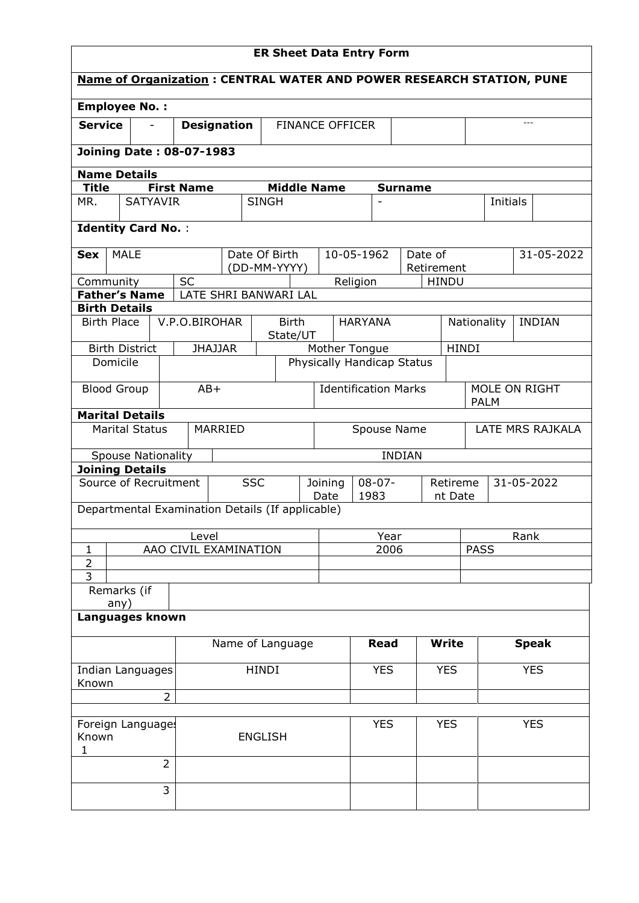| <b>ER Sheet Data Entry Form</b>                  |                                 |                   |                                              |                          |                             |                                 |                            |      |                |                     |             |                                                                                                                                                                                          |  |  |
|--------------------------------------------------|---------------------------------|-------------------|----------------------------------------------|--------------------------|-----------------------------|---------------------------------|----------------------------|------|----------------|---------------------|-------------|------------------------------------------------------------------------------------------------------------------------------------------------------------------------------------------|--|--|
|                                                  |                                 |                   |                                              |                          |                             |                                 |                            |      |                |                     |             |                                                                                                                                                                                          |  |  |
| <b>Employee No.:</b>                             |                                 |                   |                                              |                          |                             |                                 |                            |      |                |                     |             |                                                                                                                                                                                          |  |  |
| <b>Service</b>                                   |                                 |                   | <b>Designation</b><br><b>FINANCE OFFICER</b> |                          |                             |                                 |                            |      |                |                     |             |                                                                                                                                                                                          |  |  |
|                                                  | <b>Joining Date: 08-07-1983</b> |                   |                                              |                          |                             |                                 |                            |      |                |                     |             |                                                                                                                                                                                          |  |  |
| <b>Name Details</b>                              |                                 |                   |                                              |                          |                             |                                 |                            |      |                |                     |             |                                                                                                                                                                                          |  |  |
| <b>Title</b>                                     |                                 | <b>First Name</b> |                                              | <b>Middle Name</b>       |                             |                                 |                            |      | <b>Surname</b> |                     |             |                                                                                                                                                                                          |  |  |
| MR.                                              | <b>SATYAVIR</b>                 |                   |                                              | <b>SINGH</b>             |                             |                                 |                            |      |                |                     |             |                                                                                                                                                                                          |  |  |
| <b>Identity Card No.:</b>                        |                                 |                   |                                              |                          |                             |                                 |                            |      |                |                     |             |                                                                                                                                                                                          |  |  |
| <b>Sex</b>                                       | <b>MALE</b>                     |                   |                                              | Date Of Birth            |                             |                                 | 10-05-1962                 |      | Date of        |                     |             | <b>Name of Organization: CENTRAL WATER AND POWER RESEARCH STATION, PUNE</b><br>Initials<br>31-05-2022<br><b>INDIAN</b><br>31-05-2022<br>Rank<br><b>Speak</b><br><b>YES</b><br><b>YES</b> |  |  |
|                                                  |                                 | <b>SC</b>         |                                              | (DD-MM-YYYY)             |                             |                                 |                            |      | Retirement     |                     |             |                                                                                                                                                                                          |  |  |
| Community<br><b>Father's Name</b>                |                                 |                   | LATE SHRI BANWARI LAL                        |                          |                             |                                 | Religion                   |      | <b>HINDU</b>   |                     |             |                                                                                                                                                                                          |  |  |
| <b>Birth Details</b>                             |                                 |                   |                                              |                          |                             |                                 |                            |      |                |                     |             |                                                                                                                                                                                          |  |  |
| <b>Birth Place</b>                               |                                 | V.P.O.BIROHAR     |                                              | <b>Birth</b><br>State/UT |                             |                                 | <b>HARYANA</b>             |      |                |                     | Nationality |                                                                                                                                                                                          |  |  |
| <b>Birth District</b>                            |                                 |                   | <b>JHAJJAR</b>                               |                          |                             |                                 | Mother Tongue              |      |                | <b>HINDI</b>        |             |                                                                                                                                                                                          |  |  |
| Domicile                                         |                                 |                   |                                              |                          |                             |                                 | Physically Handicap Status |      |                |                     |             |                                                                                                                                                                                          |  |  |
| $AB+$<br><b>Blood Group</b>                      |                                 |                   |                                              |                          | <b>Identification Marks</b> |                                 |                            |      |                |                     | <b>PALM</b> | MOLE ON RIGHT                                                                                                                                                                            |  |  |
| <b>Marital Details</b>                           |                                 |                   |                                              |                          |                             |                                 |                            |      |                |                     |             |                                                                                                                                                                                          |  |  |
|                                                  | <b>Marital Status</b>           |                   | MARRIED                                      |                          |                             | LATE MRS RAJKALA<br>Spouse Name |                            |      |                |                     |             |                                                                                                                                                                                          |  |  |
|                                                  | <b>Spouse Nationality</b>       |                   |                                              |                          |                             |                                 |                            |      | <b>INDIAN</b>  |                     |             |                                                                                                                                                                                          |  |  |
| <b>Joining Details</b>                           |                                 |                   |                                              |                          |                             |                                 |                            |      |                |                     |             |                                                                                                                                                                                          |  |  |
| Source of Recruitment                            |                                 |                   | <b>SSC</b>                                   |                          | Joining                     | Date                            | $08 - 07 -$<br>1983        |      |                | Retireme<br>nt Date |             |                                                                                                                                                                                          |  |  |
| Departmental Examination Details (If applicable) |                                 |                   |                                              |                          |                             |                                 |                            |      |                |                     |             |                                                                                                                                                                                          |  |  |
|                                                  |                                 | Level             |                                              |                          |                             | Year                            |                            |      |                |                     |             |                                                                                                                                                                                          |  |  |
| $\mathbf{1}$                                     |                                 |                   | AAO CIVIL EXAMINATION                        |                          |                             |                                 |                            | 2006 |                |                     | <b>PASS</b> |                                                                                                                                                                                          |  |  |
| $\overline{2}$<br>$\overline{3}$                 |                                 |                   |                                              |                          |                             |                                 |                            |      |                |                     |             |                                                                                                                                                                                          |  |  |
| Remarks (if                                      |                                 |                   |                                              |                          |                             |                                 |                            |      |                |                     |             |                                                                                                                                                                                          |  |  |
| any)<br>Languages known                          |                                 |                   |                                              |                          |                             |                                 |                            |      |                |                     |             |                                                                                                                                                                                          |  |  |
|                                                  |                                 |                   |                                              |                          |                             |                                 | <b>Read</b>                |      |                | <b>Write</b>        |             |                                                                                                                                                                                          |  |  |
| Name of Language                                 |                                 |                   |                                              |                          |                             |                                 |                            |      |                |                     |             |                                                                                                                                                                                          |  |  |
| Indian Languages<br>Known                        |                                 |                   |                                              | <b>HINDI</b>             |                             |                                 | <b>YES</b>                 |      |                | <b>YES</b>          |             |                                                                                                                                                                                          |  |  |
|                                                  |                                 | $\overline{2}$    |                                              |                          |                             |                                 |                            |      |                |                     |             |                                                                                                                                                                                          |  |  |
| Foreign Languages<br>Known<br>1                  |                                 |                   |                                              | <b>ENGLISH</b>           |                             |                                 | <b>YES</b>                 |      |                | <b>YES</b>          |             |                                                                                                                                                                                          |  |  |
|                                                  |                                 | $\overline{2}$    |                                              |                          |                             |                                 |                            |      |                |                     |             |                                                                                                                                                                                          |  |  |
|                                                  |                                 | 3                 |                                              |                          |                             |                                 |                            |      |                |                     |             |                                                                                                                                                                                          |  |  |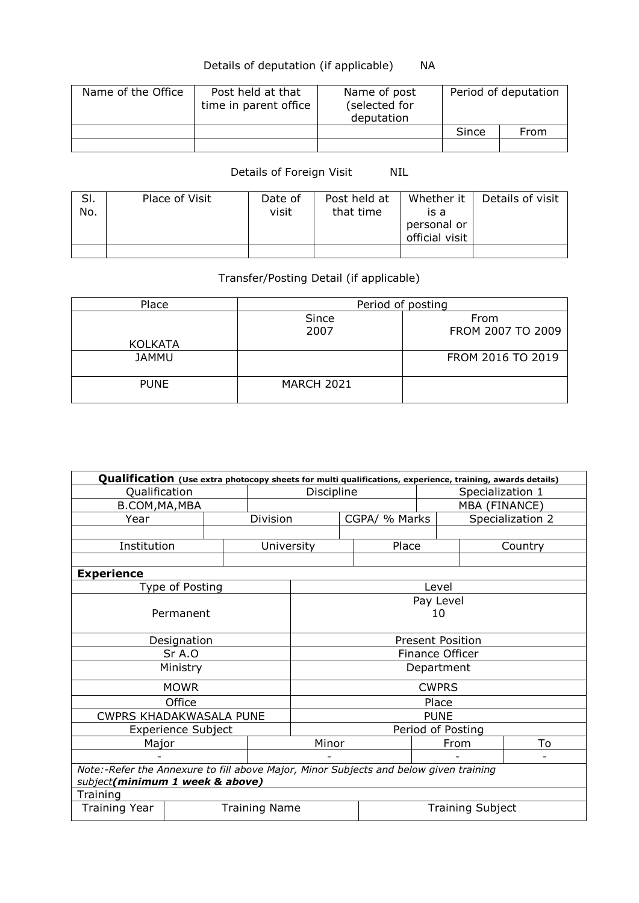## Details of deputation (if applicable) NA

| Name of the Office | Post held at that<br>time in parent office | Name of post<br>(selected for<br>deputation | Period of deputation |      |  |
|--------------------|--------------------------------------------|---------------------------------------------|----------------------|------|--|
|                    |                                            |                                             | Since                | From |  |
|                    |                                            |                                             |                      |      |  |

## Details of Foreign Visit NIL

| SI.<br>No. | Place of Visit | Date of<br>visit | Post held at<br>that time | Whether it<br>is a<br>personal or<br>official visit | Details of visit |
|------------|----------------|------------------|---------------------------|-----------------------------------------------------|------------------|
|            |                |                  |                           |                                                     |                  |

## Transfer/Posting Detail (if applicable)

| Place          | Period of posting |                           |
|----------------|-------------------|---------------------------|
|                | Since<br>2007     | From<br>FROM 2007 TO 2009 |
| <b>KOLKATA</b> |                   |                           |
| <b>JAMMU</b>   |                   | FROM 2016 TO 2019         |
| <b>PUNE</b>    | <b>MARCH 2021</b> |                           |

| Qualification (Use extra photocopy sheets for multi qualifications, experience, training, awards details) |                                                                                       |  |                      |                         |               |                        |                  |                         |                  |  |
|-----------------------------------------------------------------------------------------------------------|---------------------------------------------------------------------------------------|--|----------------------|-------------------------|---------------|------------------------|------------------|-------------------------|------------------|--|
| Qualification                                                                                             |                                                                                       |  |                      | Discipline              |               |                        | Specialization 1 |                         |                  |  |
| B.COM, MA, MBA                                                                                            |                                                                                       |  |                      |                         |               |                        |                  | MBA (FINANCE)           |                  |  |
| Year                                                                                                      |                                                                                       |  | <b>Division</b>      |                         |               | CGPA/ % Marks          |                  |                         | Specialization 2 |  |
|                                                                                                           |                                                                                       |  |                      |                         |               |                        |                  |                         |                  |  |
| Institution                                                                                               |                                                                                       |  | University           |                         |               | Place                  |                  |                         | Country          |  |
|                                                                                                           |                                                                                       |  |                      |                         |               |                        |                  |                         |                  |  |
| <b>Experience</b>                                                                                         |                                                                                       |  |                      |                         |               |                        |                  |                         |                  |  |
|                                                                                                           | Type of Posting                                                                       |  |                      |                         |               |                        | Level            |                         |                  |  |
|                                                                                                           |                                                                                       |  |                      |                         |               |                        | Pay Level        |                         |                  |  |
|                                                                                                           | Permanent                                                                             |  |                      |                         |               |                        | 10               |                         |                  |  |
|                                                                                                           |                                                                                       |  |                      |                         |               |                        |                  |                         |                  |  |
|                                                                                                           | Designation                                                                           |  |                      | <b>Present Position</b> |               |                        |                  |                         |                  |  |
|                                                                                                           | Sr A.O                                                                                |  |                      |                         |               | <b>Finance Officer</b> |                  |                         |                  |  |
|                                                                                                           | Ministry                                                                              |  |                      | Department              |               |                        |                  |                         |                  |  |
|                                                                                                           | <b>MOWR</b>                                                                           |  |                      | <b>CWPRS</b>            |               |                        |                  |                         |                  |  |
|                                                                                                           | Office                                                                                |  |                      | Place                   |               |                        |                  |                         |                  |  |
| <b>CWPRS KHADAKWASALA PUNE</b>                                                                            |                                                                                       |  |                      | <b>PUNE</b>             |               |                        |                  |                         |                  |  |
|                                                                                                           | <b>Experience Subject</b>                                                             |  |                      | Period of Posting       |               |                        |                  |                         |                  |  |
| Major                                                                                                     |                                                                                       |  |                      |                         | Minor<br>From |                        |                  |                         | To               |  |
|                                                                                                           |                                                                                       |  |                      |                         |               |                        |                  |                         |                  |  |
|                                                                                                           | Note:-Refer the Annexure to fill above Major, Minor Subjects and below given training |  |                      |                         |               |                        |                  |                         |                  |  |
|                                                                                                           | subject(minimum 1 week & above)                                                       |  |                      |                         |               |                        |                  |                         |                  |  |
| Training                                                                                                  |                                                                                       |  |                      |                         |               |                        |                  |                         |                  |  |
| <b>Training Year</b>                                                                                      |                                                                                       |  | <b>Training Name</b> |                         |               |                        |                  | <b>Training Subject</b> |                  |  |